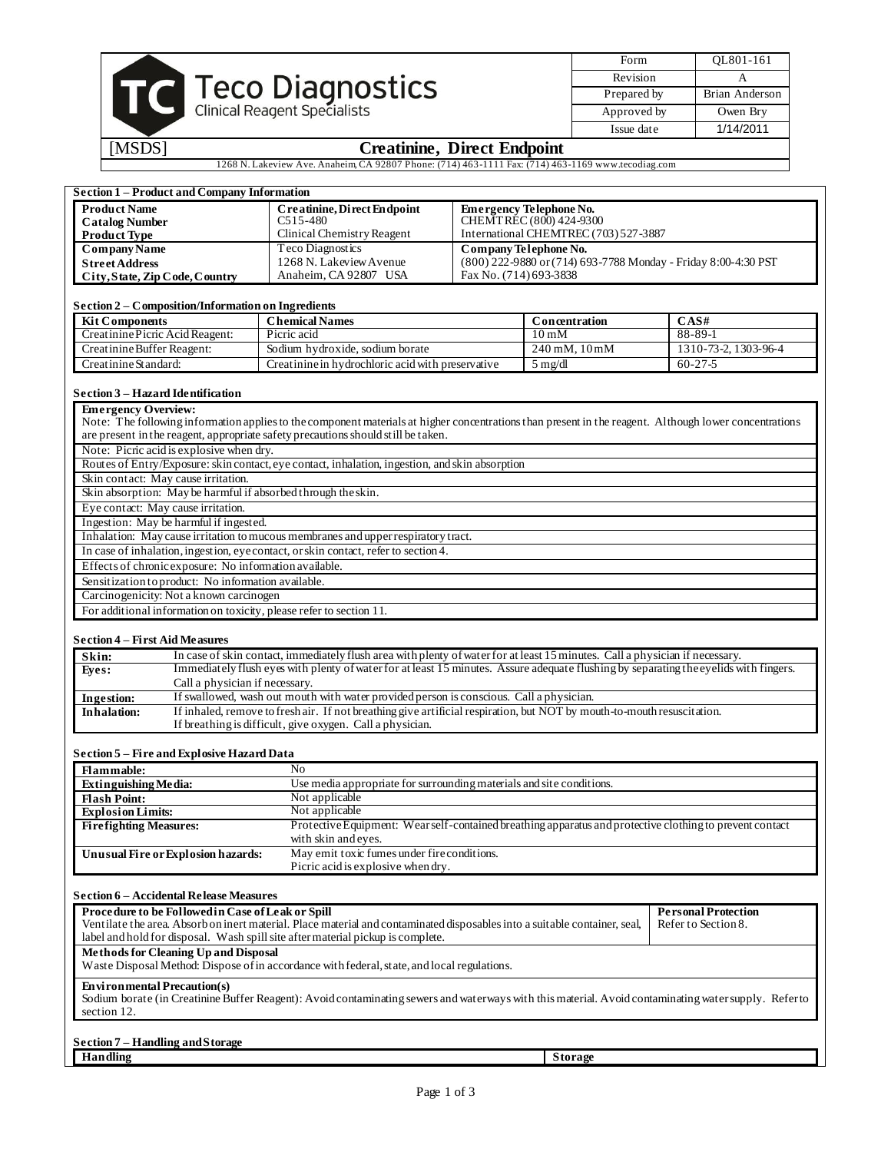|                                         | Form        | OL801-161      |
|-----------------------------------------|-------------|----------------|
|                                         | Revision    |                |
| <b>Teco Diagnostics</b>                 | Prepared by | Brian Anderson |
| <b>Clinical Reagent Specialists</b>     | Approved by | Owen Bry       |
|                                         | Issue date  | 1/14/2011      |
| B.<br>$\cdot$ .<br>$\sim$<br>$\sqrt{1}$ |             |                |

# [MSDS] **Creatinine, Direct Endpoint**

1268 N. Lakeview Ave. Anaheim, CA 92807 Phone: (714) 463-1111 Fax: (714) 463-1169 www.tecodiag.com

T

| <b>Section 1 - Product and Company Information</b>                                        |                                                                                                                                                                                                                                                                       |                                       |                                |                                                                |
|-------------------------------------------------------------------------------------------|-----------------------------------------------------------------------------------------------------------------------------------------------------------------------------------------------------------------------------------------------------------------------|---------------------------------------|--------------------------------|----------------------------------------------------------------|
| <b>Product Name</b>                                                                       | Creatinine, Direct Endpoint                                                                                                                                                                                                                                           |                                       | <b>Emergency Telephone No.</b> |                                                                |
| <b>Catalog Number</b>                                                                     | $C515 - 480$                                                                                                                                                                                                                                                          |                                       | CHEMTREC (800) 424-9300        |                                                                |
| <b>Product Type</b>                                                                       | Clinical Chemistry Reagent                                                                                                                                                                                                                                            | International CHEMTREC (703) 527-3887 |                                |                                                                |
| <b>Company Name</b>                                                                       | Teco Diagnostics                                                                                                                                                                                                                                                      | Company Telephone No.                 |                                |                                                                |
| <b>Street Address</b>                                                                     | 1268 N. Lakeview Avenue                                                                                                                                                                                                                                               |                                       |                                | (800) 222-9880 or (714) 693-7788 Monday - Friday 8:00-4:30 PST |
| City, State, Zip Code, Country                                                            | Anaheim, CA 92807 USA                                                                                                                                                                                                                                                 | Fax No. (714) 693-3838                |                                |                                                                |
|                                                                                           |                                                                                                                                                                                                                                                                       |                                       |                                |                                                                |
| Section 2 - Composition/Information on Ingredients                                        |                                                                                                                                                                                                                                                                       |                                       |                                |                                                                |
| <b>Kit Components</b>                                                                     | <b>Chemical Names</b>                                                                                                                                                                                                                                                 |                                       | Concentration                  | CAS#                                                           |
| Creatinine Picric Acid Reagent:                                                           | Picric acid                                                                                                                                                                                                                                                           |                                       | $10 \text{ mM}$                | $88 - 89 - 1$                                                  |
| Creatinine Buffer Reagent:                                                                | Sodium hydroxide, sodium borate                                                                                                                                                                                                                                       |                                       | $240$ mM, $10$ mM              | 1310-73-2, 1303-96-4                                           |
| Creatinine Standard:                                                                      | Creatinine in hydrochloric acid with preservative                                                                                                                                                                                                                     |                                       | $5$ mg/dl                      | $60 - 27 - 5$                                                  |
|                                                                                           |                                                                                                                                                                                                                                                                       |                                       |                                |                                                                |
| Section 3 - Hazard Identification                                                         |                                                                                                                                                                                                                                                                       |                                       |                                |                                                                |
|                                                                                           |                                                                                                                                                                                                                                                                       |                                       |                                |                                                                |
| <b>Emergency Overview:</b>                                                                | Note: The following information applies to the component materials at higher concentrations than present in the reagent. Although lower concentrations                                                                                                                |                                       |                                |                                                                |
|                                                                                           |                                                                                                                                                                                                                                                                       |                                       |                                |                                                                |
|                                                                                           | are present in the reagent, appropriate safety precautions should still be taken.                                                                                                                                                                                     |                                       |                                |                                                                |
| Note: Picric acid is explosive when dry.                                                  |                                                                                                                                                                                                                                                                       |                                       |                                |                                                                |
|                                                                                           | Routes of Entry/Exposure: skin contact, eye contact, inhalation, ingestion, and skin absorption                                                                                                                                                                       |                                       |                                |                                                                |
| Skin contact: May cause irritation.                                                       |                                                                                                                                                                                                                                                                       |                                       |                                |                                                                |
| Skin absorption: May be harmful if absorbed through the skin.                             |                                                                                                                                                                                                                                                                       |                                       |                                |                                                                |
| Eye contact: May cause irritation.                                                        |                                                                                                                                                                                                                                                                       |                                       |                                |                                                                |
| Ingestion: May be harmful if ingested.                                                    |                                                                                                                                                                                                                                                                       |                                       |                                |                                                                |
|                                                                                           | Inhalation: May cause irritation to mucous membranes and upper respiratory tract.                                                                                                                                                                                     |                                       |                                |                                                                |
|                                                                                           | In case of inhalation, ingestion, eye contact, or skin contact, refer to section 4.                                                                                                                                                                                   |                                       |                                |                                                                |
| Effects of chronic exposure: No information available.                                    |                                                                                                                                                                                                                                                                       |                                       |                                |                                                                |
| Sensitization to product: No information available.                                       |                                                                                                                                                                                                                                                                       |                                       |                                |                                                                |
| Carcinogenicity: Not a known carcinogen                                                   |                                                                                                                                                                                                                                                                       |                                       |                                |                                                                |
| For additional information on toxicity, please refer to section 11.                       |                                                                                                                                                                                                                                                                       |                                       |                                |                                                                |
| <b>Section 4 – First Aid Measures</b><br>Skin:<br>Eyes:<br>Call a physician if necessary. | In case of skin contact, immediately flush area with plenty of water for at least 15 minutes. Call a physician if necessary.<br>Immediately flush eyes with plenty of water for at least 15 minutes. Assure adequate flushing by separating the eyelids with fingers. |                                       |                                |                                                                |
| Ingestion:                                                                                | If swallowed, wash out mouth with water provided person is conscious. Call a physician.                                                                                                                                                                               |                                       |                                |                                                                |
| <b>Inhalation:</b>                                                                        | If inhaled, remove to fresh air. If not breathing give artificial respiration, but NOT by mouth-to-mouth resuscitation.                                                                                                                                               |                                       |                                |                                                                |
|                                                                                           | If breathing is difficult, give oxygen. Call a physician.                                                                                                                                                                                                             |                                       |                                |                                                                |
|                                                                                           |                                                                                                                                                                                                                                                                       |                                       |                                |                                                                |
| <b>Section 5 – Fire and Explosive Hazard Data</b>                                         |                                                                                                                                                                                                                                                                       |                                       |                                |                                                                |
| Flammable:                                                                                | No                                                                                                                                                                                                                                                                    |                                       |                                |                                                                |
| Extinguishing Media:                                                                      | Use media appropriate for surrounding materials and site conditions.                                                                                                                                                                                                  |                                       |                                |                                                                |
| <b>Flash Point:</b>                                                                       | Not applicable                                                                                                                                                                                                                                                        |                                       |                                |                                                                |
| <b>Explosion Limits:</b>                                                                  | Not applicable                                                                                                                                                                                                                                                        |                                       |                                |                                                                |
| <b>Firefighting Measures:</b>                                                             | Protective Equipment: Wear self-contained breathing apparatus and protective clothing to prevent contact                                                                                                                                                              |                                       |                                |                                                                |
|                                                                                           | with skin and eyes.                                                                                                                                                                                                                                                   |                                       |                                |                                                                |
| Unusual Fire or Explosion hazards:                                                        | May emit toxic fumes under fire conditions.                                                                                                                                                                                                                           |                                       |                                |                                                                |
|                                                                                           | Picric acid is explosive when dry.                                                                                                                                                                                                                                    |                                       |                                |                                                                |
|                                                                                           |                                                                                                                                                                                                                                                                       |                                       |                                |                                                                |
| <b>Section 6 - Accidental Release Measures</b>                                            |                                                                                                                                                                                                                                                                       |                                       |                                |                                                                |
| Procedure to be Followed in Case of Leak or Spill                                         |                                                                                                                                                                                                                                                                       |                                       |                                | <b>Personal Protection</b>                                     |
|                                                                                           | Ventilate the area. Absorb on inert material. Place material and contaminated disposables into a suitable container, seal,                                                                                                                                            |                                       |                                | Refer to Section 8.                                            |
|                                                                                           | label and hold for disposal. Wash spill site after material pickup is complete.                                                                                                                                                                                       |                                       |                                |                                                                |
| Methods for Cleaning Up and Disposal                                                      |                                                                                                                                                                                                                                                                       |                                       |                                |                                                                |
|                                                                                           | Waste Disposal Method: Dispose of in accordance with federal, state, and local regulations.                                                                                                                                                                           |                                       |                                |                                                                |
| <b>Environmental Precaution(s)</b>                                                        | Sodium borate (in Creatinine Buffer Reagent): Avoid contaminating sewers and waterways with this material. Avoid contaminating water supply. Refer to                                                                                                                 |                                       |                                |                                                                |
| section 12.                                                                               |                                                                                                                                                                                                                                                                       |                                       |                                |                                                                |
|                                                                                           |                                                                                                                                                                                                                                                                       |                                       |                                |                                                                |
| Section 7 – Handling and Storage                                                          |                                                                                                                                                                                                                                                                       |                                       |                                |                                                                |
| Handling                                                                                  |                                                                                                                                                                                                                                                                       |                                       | <b>Storage</b>                 |                                                                |
|                                                                                           |                                                                                                                                                                                                                                                                       |                                       |                                |                                                                |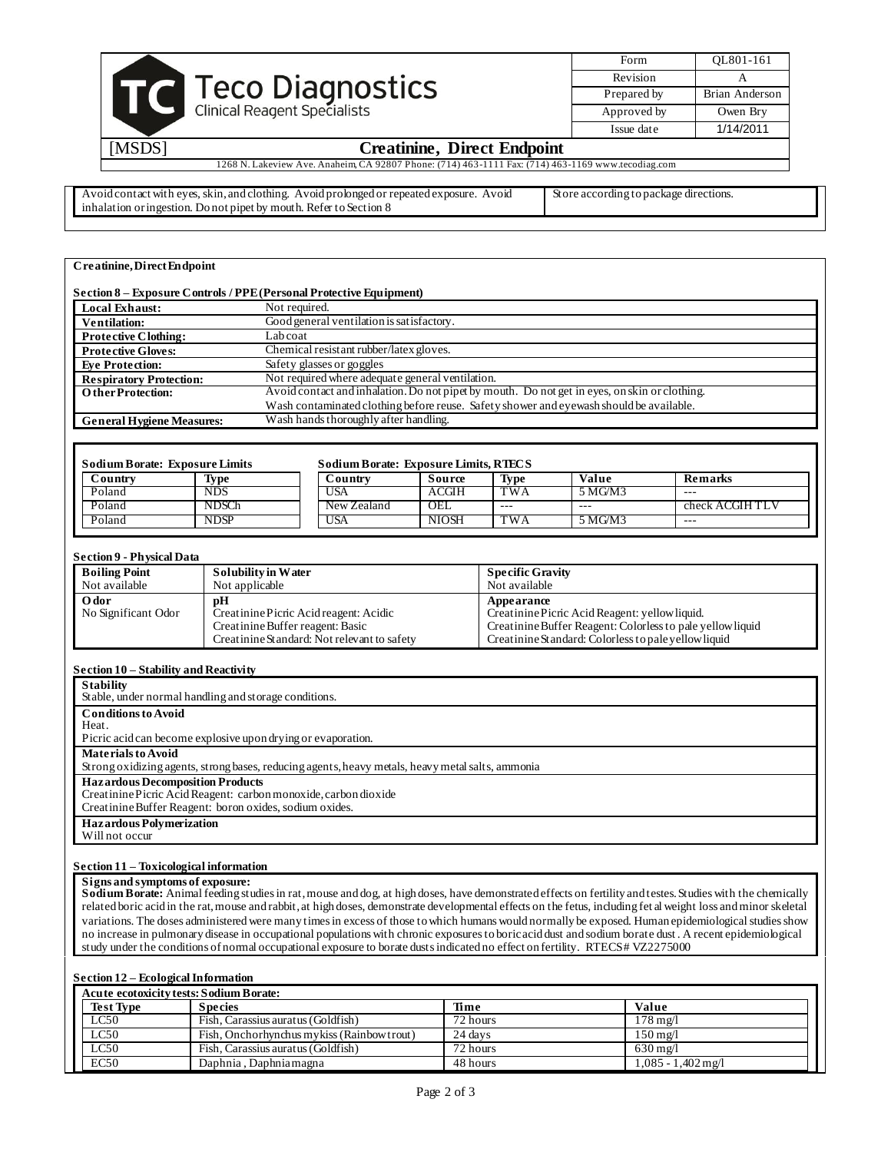|                                                                                         | Form        | OL801-161      |
|-----------------------------------------------------------------------------------------|-------------|----------------|
|                                                                                         | Revision    |                |
| Teco Diagnostics                                                                        | Prepared by | Brian Anderson |
| <b>Clinical Reagent Specialists</b>                                                     | Approved by | Owen Bry       |
|                                                                                         | Issue date  | 1/14/2011      |
| <b>IMCDC1</b><br>$C_{\text{mod}}$ $\lim_{\Delta t}$ $\lim_{\Delta t}$ $\lim_{\Delta t}$ |             |                |

## [MSDS] **Creatinine, Direct Endpoint**

1268 N. Lakeview Ave. Anaheim, CA 92807 Phone: (714) 463-1111 Fax: (714) 463-1169 www.tecodiag.com

Avoid contact with eyes, skin, and clothing. Avoid prolonged or repeated exposure. Avoid inhalation or ingestion. Do not pipet by mouth. Refer to Section 8 Store according to package directions.

### **Creatinine, Direct Endpoint**

|                                  | Section 8 – Exposure Controls / PPE (Personal Protective Equipment)                           |
|----------------------------------|-----------------------------------------------------------------------------------------------|
| <b>Local Exhaust:</b>            | Not required.                                                                                 |
| <b>Ventilation:</b>              | Good general ventilation is satisfactory.                                                     |
| <b>Protective Clothing:</b>      | Labcoat                                                                                       |
| <b>Protective Gloves:</b>        | Chemical resistant rubber/latex gloves.                                                       |
| <b>Eve Protection:</b>           | Safety glasses or goggles                                                                     |
| <b>Respiratory Protection:</b>   | Not required where adequate general ventilation.                                              |
| <b>OtherProtection:</b>          | Avoid contact and inhalation. Do not pipet by mouth. Do not get in eyes, on skin or clothing. |
|                                  | Wash contaminated clothing before reuse. Safety shower and eyewash should be available.       |
| <b>General Hygiene Measures:</b> | Wash hands thoroughly after handling.                                                         |

| <b>Sodium Borate: Exposure Limits, RTECS</b><br><b>Sodium Borate: Exposure Limits</b> |                   |             |              |                         |         |                |
|---------------------------------------------------------------------------------------|-------------------|-------------|--------------|-------------------------|---------|----------------|
| Countrv                                                                               | Type              | Country     | Source       | Type                    | Value   | Remarks        |
| Poland                                                                                | <b>NDS</b>        | <b>USA</b>  | <b>ACGIH</b> | TWA                     | 5 MG/M3 | $- - -$        |
| Poland                                                                                | NDSC <sub>h</sub> | New Zealand | OEL          | $- - -$                 | $- - -$ | check ACGIHTLV |
| Poland                                                                                | NDSP              | USA         | <b>NIOSH</b> | $\overline{\text{TWA}}$ | 5 MG/M3 | $- - -$        |

### **Section 9 - Physical Data**

| <b>Boiling Point</b>        | Solubility in Water                                                                                                             | <b>Specific Gravity</b>                                                                                                                                                            |
|-----------------------------|---------------------------------------------------------------------------------------------------------------------------------|------------------------------------------------------------------------------------------------------------------------------------------------------------------------------------|
| Not available               | Not applicable                                                                                                                  | Not available                                                                                                                                                                      |
| Odor<br>No Significant Odor | pH<br>Creatinine Picric Acid reagent: Acidic<br>Creatinine Buffer reagent: Basic<br>Creatinine Standard: Not relevant to safety | Appearance<br>Creatinine Picric Acid Reagent: yellow liquid.<br>Creatinine Buffer Reagent: Colorless to pale yellow liquid<br>Creatinine Standard: Colorless to pale yellow liquid |

### **Section 10 – Stability and Reactivity**

| <b>Stability</b>                                                                                 |
|--------------------------------------------------------------------------------------------------|
| Stable, under normal handling and storage conditions.                                            |
| <b>Conditions to Avoid</b>                                                                       |
| Heat.                                                                                            |
| Picric acid can become explosive upon drying or evaporation.                                     |
| <b>Materials to Avoid</b>                                                                        |
| Strong oxidizing agents, strong bases, reducing agents, heavy metals, heavy metal salts, ammonia |
| <b>Hazardous Decomposition Products</b>                                                          |
| Creatinine Picric Acid Reagent: carbon monoxide, carbon dioxide                                  |
| Creatinine Buffer Reagent: boron oxides, sodium oxides.                                          |
| <b>Hazardous Polymerization</b>                                                                  |
| Will not occur                                                                                   |
|                                                                                                  |

#### **Section 11 – Toxicological information**

#### **Signs and symptoms of exposure:**

**Sodium Borate:** Animal feeding studies in rat, mouse and dog, at high doses, have demonstrated effects on fertility and testes. Studies with the chemically related boric acid in the rat, mouse and rabbit, at high doses, demonstrate developmental effects on the fetus, including fet al weight loss and minor skeletal variations. The doses administered were many times in excess of those to which humans would normally be exposed. Human epidemiological studies show no increase in pulmonary disease in occupational populations with chronic exposures to boric acid dust and sodium borate dust . A recent epidemiological study under the conditions of normal occupational exposure to borate dusts indicated no effect on fertility. RTECS # VZ2275000

### **Section 12 – Ecological Information**

| Acute ecotoxicity tests: Sodium Borate: |                                            |          |                     |  |
|-----------------------------------------|--------------------------------------------|----------|---------------------|--|
| <b>Test Type</b>                        | <b>Species</b>                             | Time     | Value               |  |
| LC50                                    | Fish, Carassius auratus (Goldfish)         | 72 hours | $178 \text{ m}$ g/l |  |
| LC50                                    | Fish, Onchorhynchus mykiss (Rainbow trout) | 24 days  | 150 mg/l            |  |
| LC50                                    | Fish, Carassius auratus (Goldfish)         | 72 hours | $630 \text{ m}$ g/l |  |
| EC50                                    | Daphnia, Daphnia magna                     | 48 hours | 1,085 - 1,402 mg/l  |  |